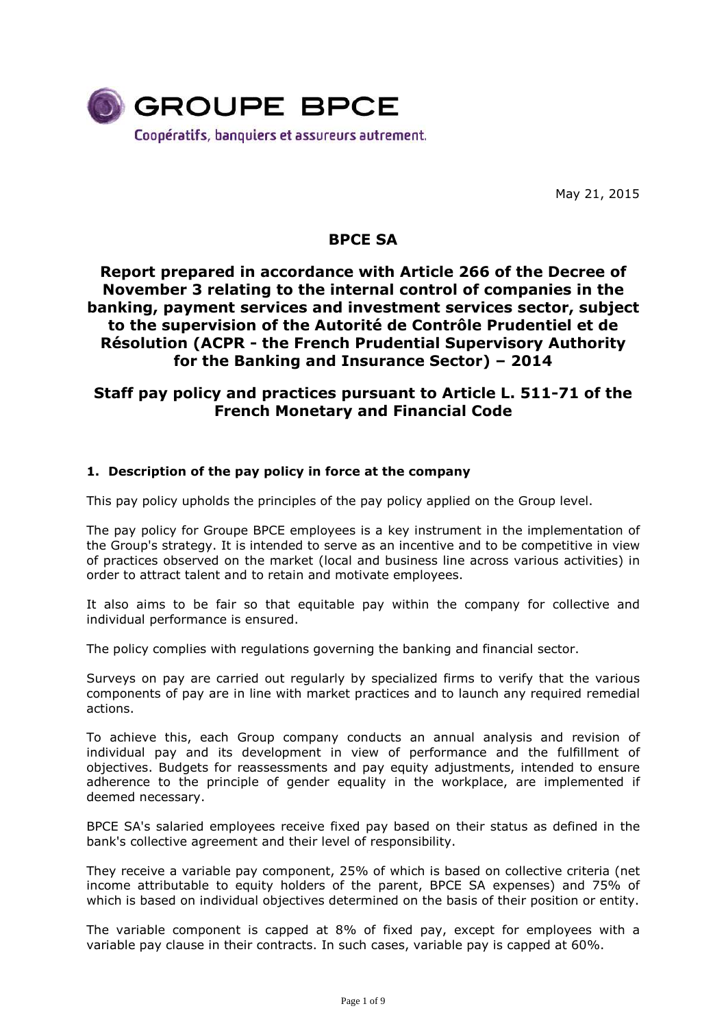

May 21, 2015

# **BPCE SA**

# **Report prepared in accordance with Article 266 of the Decree of November 3 relating to the internal control of companies in the banking, payment services and investment services sector, subject to the supervision of the Autorité de Contrôle Prudentiel et de Résolution (ACPR - the French Prudential Supervisory Authority for the Banking and Insurance Sector) – 2014**

# **Staff pay policy and practices pursuant to Article L. 511-71 of the French Monetary and Financial Code**

## **1. Description of the pay policy in force at the company**

This pay policy upholds the principles of the pay policy applied on the Group level.

The pay policy for Groupe BPCE employees is a key instrument in the implementation of the Group's strategy. It is intended to serve as an incentive and to be competitive in view of practices observed on the market (local and business line across various activities) in order to attract talent and to retain and motivate employees.

It also aims to be fair so that equitable pay within the company for collective and individual performance is ensured.

The policy complies with regulations governing the banking and financial sector.

Surveys on pay are carried out regularly by specialized firms to verify that the various components of pay are in line with market practices and to launch any required remedial actions.

To achieve this, each Group company conducts an annual analysis and revision of individual pay and its development in view of performance and the fulfillment of objectives. Budgets for reassessments and pay equity adjustments, intended to ensure adherence to the principle of gender equality in the workplace, are implemented if deemed necessary.

BPCE SA's salaried employees receive fixed pay based on their status as defined in the bank's collective agreement and their level of responsibility.

They receive a variable pay component, 25% of which is based on collective criteria (net income attributable to equity holders of the parent, BPCE SA expenses) and 75% of which is based on individual objectives determined on the basis of their position or entity.

The variable component is capped at 8% of fixed pay, except for employees with a variable pay clause in their contracts. In such cases, variable pay is capped at 60%.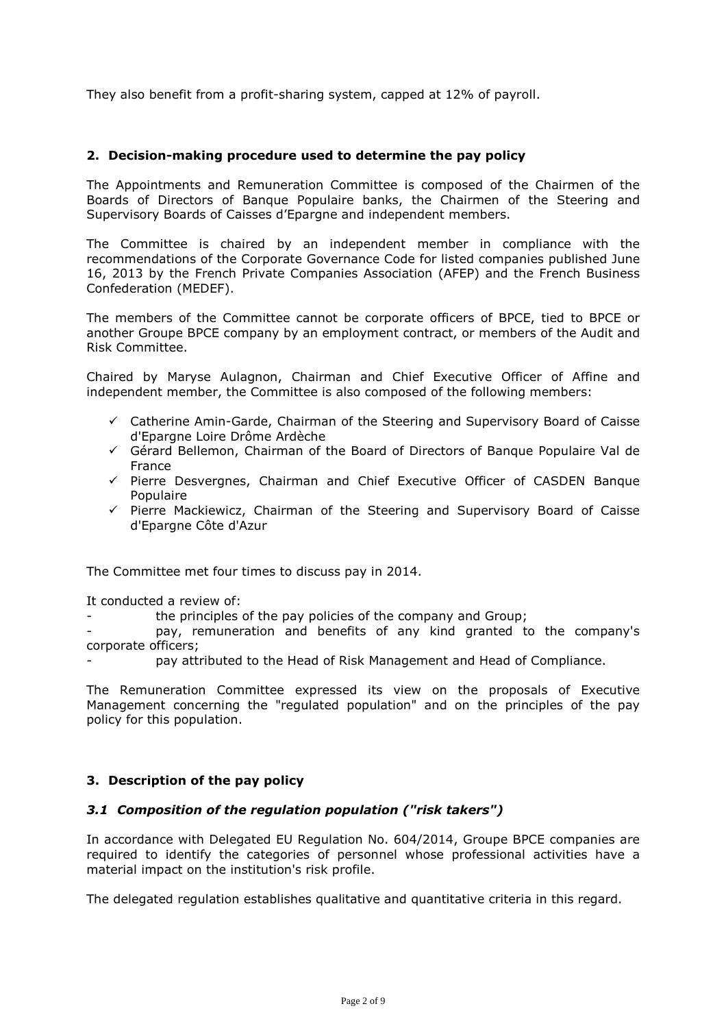They also benefit from a profit-sharing system, capped at 12% of payroll.

### **2. Decision-making procedure used to determine the pay policy**

The Appointments and Remuneration Committee is composed of the Chairmen of the Boards of Directors of Banque Populaire banks, the Chairmen of the Steering and Supervisory Boards of Caisses d'Epargne and independent members.

The Committee is chaired by an independent member in compliance with the recommendations of the Corporate Governance Code for listed companies published June 16, 2013 by the French Private Companies Association (AFEP) and the French Business Confederation (MEDEF).

The members of the Committee cannot be corporate officers of BPCE, tied to BPCE or another Groupe BPCE company by an employment contract, or members of the Audit and Risk Committee.

Chaired by Maryse Aulagnon, Chairman and Chief Executive Officer of Affine and independent member, the Committee is also composed of the following members:

- $\checkmark$  Catherine Amin-Garde, Chairman of the Steering and Supervisory Board of Caisse d'Epargne Loire Drôme Ardèche
- Gérard Bellemon, Chairman of the Board of Directors of Banque Populaire Val de France
- $\checkmark$  Pierre Desvergnes, Chairman and Chief Executive Officer of CASDEN Banque Populaire
- $\checkmark$  Pierre Mackiewicz, Chairman of the Steering and Supervisory Board of Caisse d'Epargne Côte d'Azur

The Committee met four times to discuss pay in 2014.

It conducted a review of:

the principles of the pay policies of the company and Group;

pay, remuneration and benefits of any kind granted to the company's corporate officers;

pay attributed to the Head of Risk Management and Head of Compliance.

The Remuneration Committee expressed its view on the proposals of Executive Management concerning the "regulated population" and on the principles of the pay policy for this population.

### **3. Description of the pay policy**

### *3.1 Composition of the regulation population ("risk takers")*

In accordance with Delegated EU Regulation No. 604/2014, Groupe BPCE companies are required to identify the categories of personnel whose professional activities have a material impact on the institution's risk profile.

The delegated regulation establishes qualitative and quantitative criteria in this regard.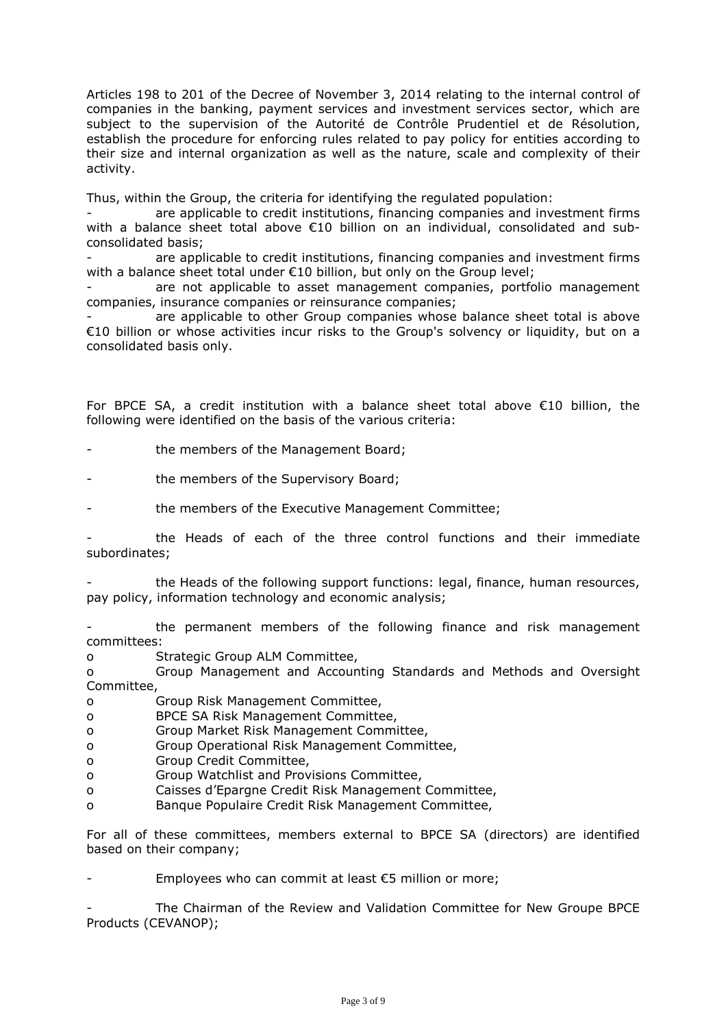Articles 198 to 201 of the Decree of November 3, 2014 relating to the internal control of companies in the banking, payment services and investment services sector, which are subject to the supervision of the Autorité de Contrôle Prudentiel et de Résolution, establish the procedure for enforcing rules related to pay policy for entities according to their size and internal organization as well as the nature, scale and complexity of their activity.

Thus, within the Group, the criteria for identifying the regulated population:

are applicable to credit institutions, financing companies and investment firms with a balance sheet total above €10 billion on an individual, consolidated and subconsolidated basis;

are applicable to credit institutions, financing companies and investment firms with a balance sheet total under €10 billion, but only on the Group level;

are not applicable to asset management companies, portfolio management companies, insurance companies or reinsurance companies;

are applicable to other Group companies whose balance sheet total is above €10 billion or whose activities incur risks to the Group's solvency or liquidity, but on a consolidated basis only.

For BPCE SA, a credit institution with a balance sheet total above  $\epsilon$ 10 billion, the following were identified on the basis of the various criteria:

the members of the Management Board;

the members of the Supervisory Board;

the members of the Executive Management Committee;

- the Heads of each of the three control functions and their immediate subordinates;

the Heads of the following support functions: legal, finance, human resources, pay policy, information technology and economic analysis;

the permanent members of the following finance and risk management committees:

o Strategic Group ALM Committee,

o Group Management and Accounting Standards and Methods and Oversight Committee,

o Group Risk Management Committee,

- o BPCE SA Risk Management Committee,
- o Group Market Risk Management Committee,
- o Group Operational Risk Management Committee,
- o Group Credit Committee,
- o Group Watchlist and Provisions Committee,
- o Caisses d'Epargne Credit Risk Management Committee,
- o Banque Populaire Credit Risk Management Committee,

For all of these committees, members external to BPCE SA (directors) are identified based on their company;

Employees who can commit at least  $\epsilon$ 5 million or more;

The Chairman of the Review and Validation Committee for New Groupe BPCE Products (CEVANOP);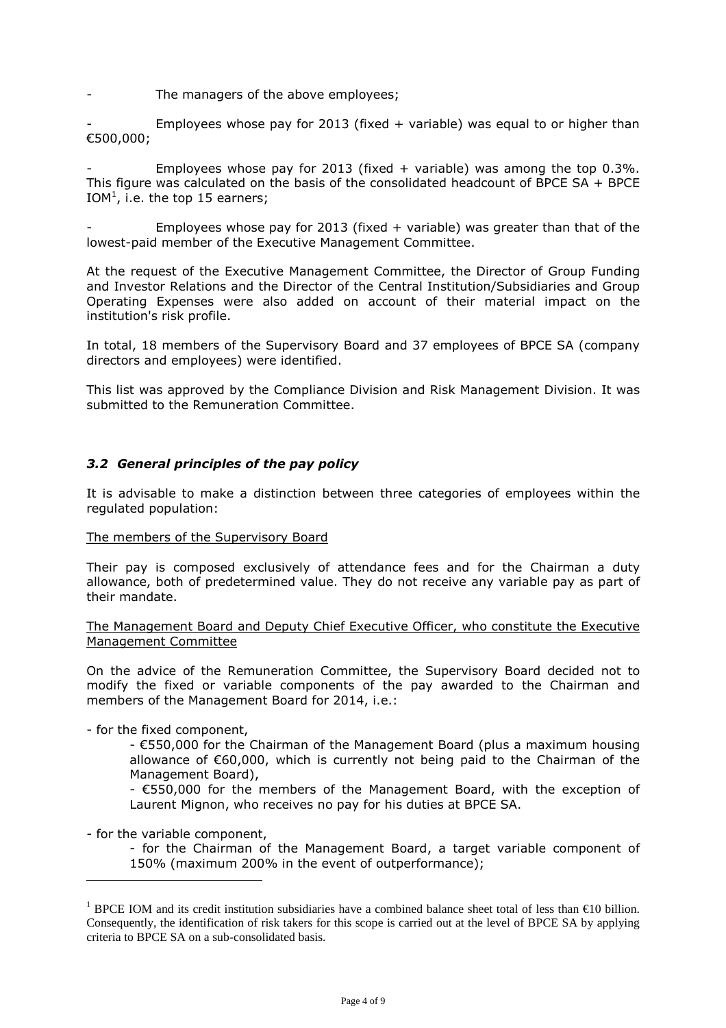The managers of the above employees;

Employees whose pay for 2013 (fixed  $+$  variable) was equal to or higher than €500,000;

Employees whose pay for 2013 (fixed + variable) was among the top  $0.3\%$ . This figure was calculated on the basis of the consolidated headcount of BPCE SA  $+$  BPCE IOM<sup>1</sup>, i.e. the top 15 earners;

Employees whose pay for 2013 (fixed  $+$  variable) was greater than that of the lowest-paid member of the Executive Management Committee.

At the request of the Executive Management Committee, the Director of Group Funding and Investor Relations and the Director of the Central Institution/Subsidiaries and Group Operating Expenses were also added on account of their material impact on the institution's risk profile.

In total, 18 members of the Supervisory Board and 37 employees of BPCE SA (company directors and employees) were identified.

This list was approved by the Compliance Division and Risk Management Division. It was submitted to the Remuneration Committee.

### *3.2 General principles of the pay policy*

It is advisable to make a distinction between three categories of employees within the regulated population:

#### The members of the Supervisory Board

Their pay is composed exclusively of attendance fees and for the Chairman a duty allowance, both of predetermined value. They do not receive any variable pay as part of their mandate.

The Management Board and Deputy Chief Executive Officer, who constitute the Executive Management Committee

On the advice of the Remuneration Committee, the Supervisory Board decided not to modify the fixed or variable components of the pay awarded to the Chairman and members of the Management Board for 2014, i.e.:

- for the fixed component,

- €550,000 for the Chairman of the Management Board (plus a maximum housing allowance of €60,000, which is currently not being paid to the Chairman of the Management Board),

- €550,000 for the members of the Management Board, with the exception of Laurent Mignon, who receives no pay for his duties at BPCE SA.

- for the variable component,

 $\overline{a}$ 

- for the Chairman of the Management Board, a target variable component of 150% (maximum 200% in the event of outperformance);

<sup>&</sup>lt;sup>1</sup> BPCE IOM and its credit institution subsidiaries have a combined balance sheet total of less than  $\epsilon$ 10 billion. Consequently, the identification of risk takers for this scope is carried out at the level of BPCE SA by applying criteria to BPCE SA on a sub-consolidated basis.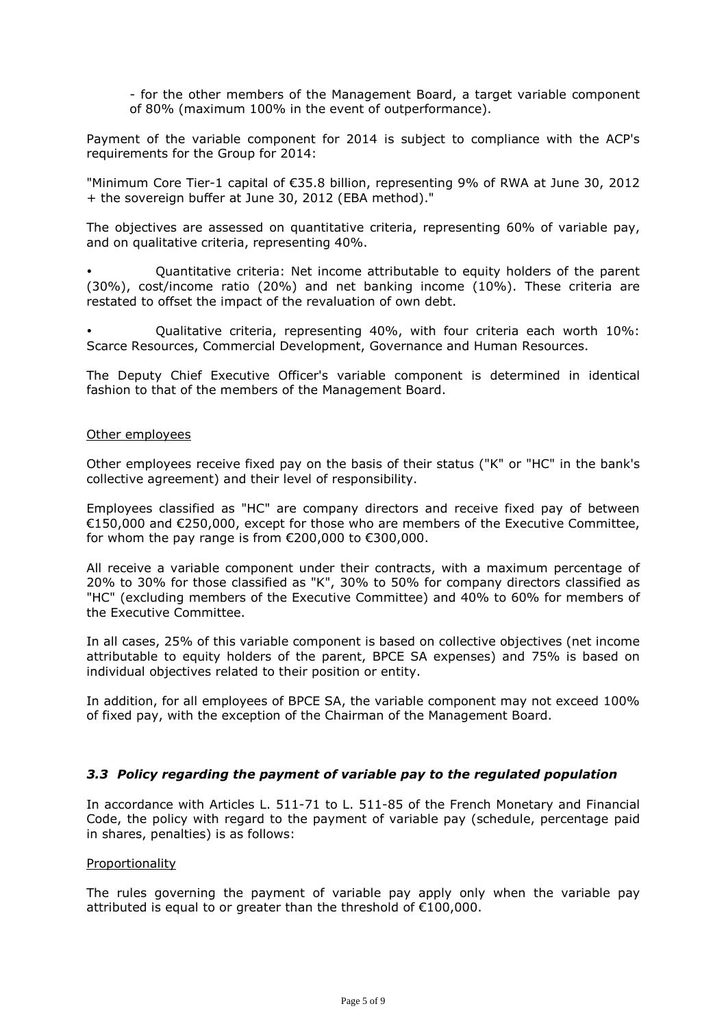- for the other members of the Management Board, a target variable component of 80% (maximum 100% in the event of outperformance).

Payment of the variable component for 2014 is subject to compliance with the ACP's requirements for the Group for 2014:

"Minimum Core Tier-1 capital of €35.8 billion, representing 9% of RWA at June 30, 2012 + the sovereign buffer at June 30, 2012 (EBA method)."

The objectives are assessed on quantitative criteria, representing 60% of variable pay, and on qualitative criteria, representing 40%.

- Quantitative criteria: Net income attributable to equity holders of the parent (30%), cost/income ratio (20%) and net banking income (10%). These criteria are restated to offset the impact of the revaluation of own debt.

- Qualitative criteria, representing 40%, with four criteria each worth 10%: Scarce Resources, Commercial Development, Governance and Human Resources.

The Deputy Chief Executive Officer's variable component is determined in identical fashion to that of the members of the Management Board.

#### Other employees

Other employees receive fixed pay on the basis of their status ("K" or "HC" in the bank's collective agreement) and their level of responsibility.

Employees classified as "HC" are company directors and receive fixed pay of between €150,000 and €250,000, except for those who are members of the Executive Committee, for whom the pay range is from  $\epsilon$ 200,000 to  $\epsilon$ 300,000.

All receive a variable component under their contracts, with a maximum percentage of 20% to 30% for those classified as "K", 30% to 50% for company directors classified as "HC" (excluding members of the Executive Committee) and 40% to 60% for members of the Executive Committee.

In all cases, 25% of this variable component is based on collective objectives (net income attributable to equity holders of the parent, BPCE SA expenses) and 75% is based on individual objectives related to their position or entity.

In addition, for all employees of BPCE SA, the variable component may not exceed 100% of fixed pay, with the exception of the Chairman of the Management Board.

### *3.3 Policy regarding the payment of variable pay to the regulated population*

In accordance with Articles L. 511-71 to L. 511-85 of the French Monetary and Financial Code, the policy with regard to the payment of variable pay (schedule, percentage paid in shares, penalties) is as follows:

#### Proportionality

The rules governing the payment of variable pay apply only when the variable pay attributed is equal to or greater than the threshold of €100,000.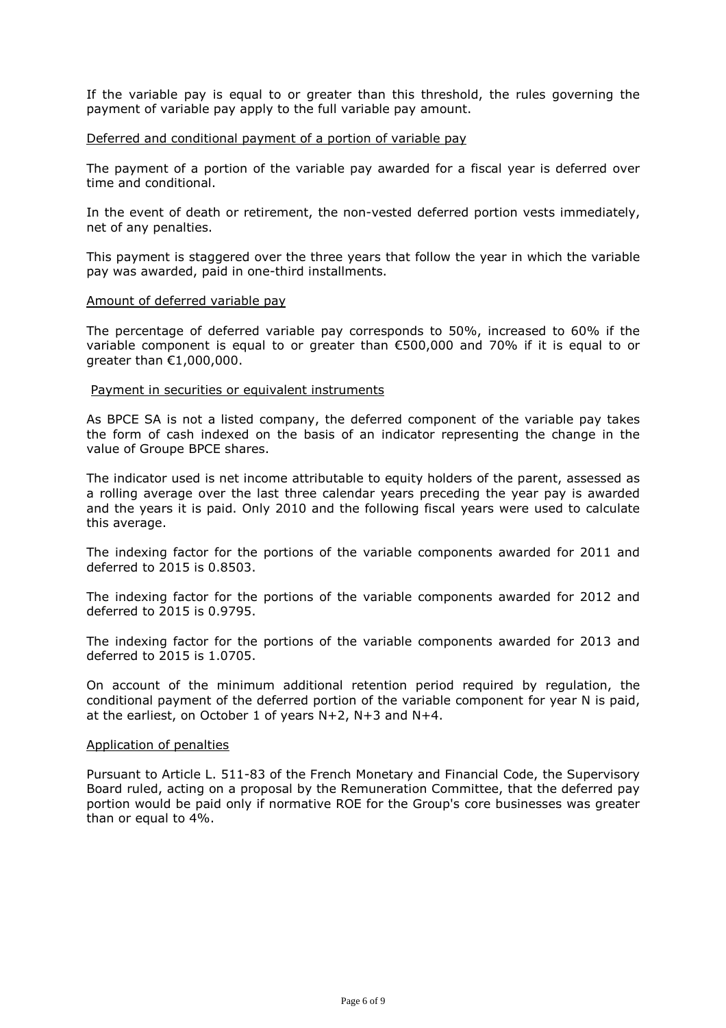If the variable pay is equal to or greater than this threshold, the rules governing the payment of variable pay apply to the full variable pay amount.

#### Deferred and conditional payment of a portion of variable pay

The payment of a portion of the variable pay awarded for a fiscal year is deferred over time and conditional.

In the event of death or retirement, the non-vested deferred portion vests immediately, net of any penalties.

This payment is staggered over the three years that follow the year in which the variable pay was awarded, paid in one-third installments.

#### Amount of deferred variable pay

The percentage of deferred variable pay corresponds to 50%, increased to 60% if the variable component is equal to or greater than  $\epsilon$ 500,000 and 70% if it is equal to or greater than €1,000,000.

#### Payment in securities or equivalent instruments

As BPCE SA is not a listed company, the deferred component of the variable pay takes the form of cash indexed on the basis of an indicator representing the change in the value of Groupe BPCE shares.

The indicator used is net income attributable to equity holders of the parent, assessed as a rolling average over the last three calendar years preceding the year pay is awarded and the years it is paid. Only 2010 and the following fiscal years were used to calculate this average.

The indexing factor for the portions of the variable components awarded for 2011 and deferred to 2015 is 0.8503.

The indexing factor for the portions of the variable components awarded for 2012 and deferred to 2015 is 0.9795.

The indexing factor for the portions of the variable components awarded for 2013 and deferred to 2015 is 1.0705.

On account of the minimum additional retention period required by regulation, the conditional payment of the deferred portion of the variable component for year N is paid, at the earliest, on October 1 of years N+2, N+3 and N+4.

#### Application of penalties

Pursuant to Article L. 511-83 of the French Monetary and Financial Code, the Supervisory Board ruled, acting on a proposal by the Remuneration Committee, that the deferred pay portion would be paid only if normative ROE for the Group's core businesses was greater than or equal to 4%.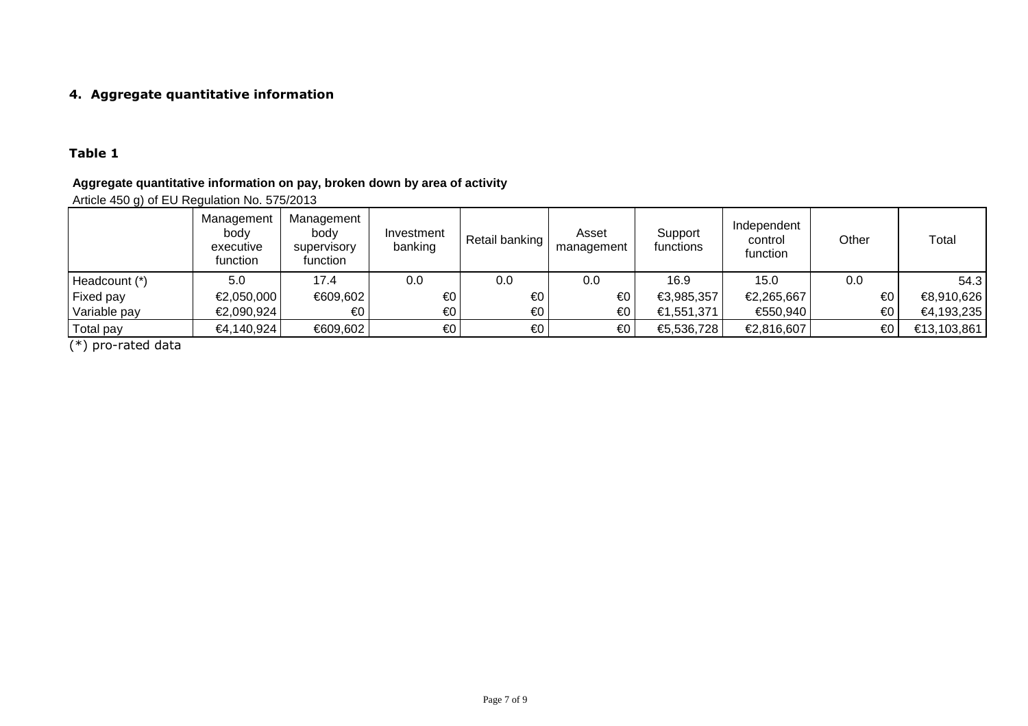## **4. Aggregate quantitative information**

## **Table 1**

## **Aggregate quantitative information on pay, broken down by area of activity**

Article 450 g) of EU Regulation No. 575/2013

|               | Management<br>body<br>executive<br>function | Management<br>body<br>supervisory<br>function | Investment<br>banking   | Retail banking | Asset<br>management | Support<br>functions | Independent<br>control<br>function | Other                   | Total       |
|---------------|---------------------------------------------|-----------------------------------------------|-------------------------|----------------|---------------------|----------------------|------------------------------------|-------------------------|-------------|
| Headcount (*) | 5.0                                         | 17.4                                          | 0.0                     | 0.0            | 0.0                 | 16.9                 | 15.0                               | 0.0                     | 54.3        |
| Fixed pay     | €2,050,000                                  | €609,602                                      | €0                      | €0             | €0                  | €3,985,357           | €2,265,667                         | $\epsilon$ <sup>0</sup> | €8,910,626  |
| Variable pay  | €2,090,924                                  | €0                                            | €0                      | €0             | €0                  | €1,551,371           | €550,940                           | $\epsilon$ <sup>0</sup> | €4,193,235  |
| Total pay     | €4,140,924                                  | €609,602                                      | $\epsilon$ <sup>0</sup> | €0             | €0                  | €5,536,728           | €2,816,607                         | $\epsilon$ 0            | €13,103,861 |

(\*) pro-rated data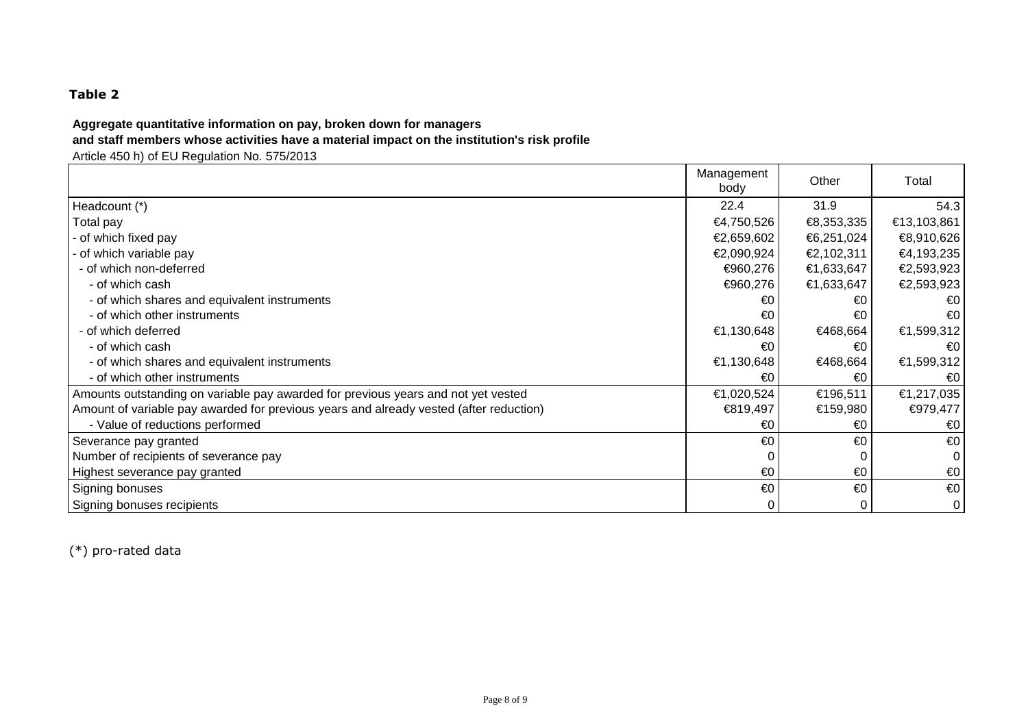# **Table 2**

## **Aggregate quantitative information on pay, broken down for managers**

## **and staff members whose activities have a material impact on the institution's risk profile**

Article 450 h) of EU Regulation No. 575/2013

|                                                                                        | Management<br>body | Other      | Total        |
|----------------------------------------------------------------------------------------|--------------------|------------|--------------|
| Headcount (*)                                                                          | 22.4               | 31.9       | 54.3         |
| Total pay                                                                              | €4,750,526         | €8,353,335 | €13,103,861  |
| - of which fixed pay                                                                   | €2,659,602         | €6,251,024 | €8,910,626   |
| - of which variable pay                                                                | €2,090,924         | €2,102,311 | €4,193,235   |
| - of which non-deferred                                                                | €960,276           | €1,633,647 | €2,593,923   |
| - of which cash                                                                        | €960,276           | €1,633,647 | €2,593,923   |
| - of which shares and equivalent instruments                                           | €0                 | €0         | €0           |
| - of which other instruments                                                           | €0                 | €0         | €0           |
| - of which deferred                                                                    | €1,130,648         | €468,664   | €1,599,312   |
| - of which cash                                                                        | €0                 | €0         | €0           |
| - of which shares and equivalent instruments                                           | €1,130,648         | €468,664   | €1,599,312   |
| - of which other instruments                                                           | €0                 | €0         | €0           |
| Amounts outstanding on variable pay awarded for previous years and not yet vested      | €1,020,524         | €196,511   | €1,217,035   |
| Amount of variable pay awarded for previous years and already vested (after reduction) | €819,497           | €159,980   | €979,477     |
| - Value of reductions performed                                                        | €0                 | €0         | €0           |
| Severance pay granted                                                                  | €0                 | €0         | €0           |
| Number of recipients of severance pay                                                  |                    |            | 0            |
| Highest severance pay granted                                                          | €0                 | €0         | €0           |
| Signing bonuses                                                                        | €0                 | €0         | $\epsilon$ 0 |
| Signing bonuses recipients                                                             | 0                  | 0          | $\mathbf 0$  |

(\*) pro-rated data